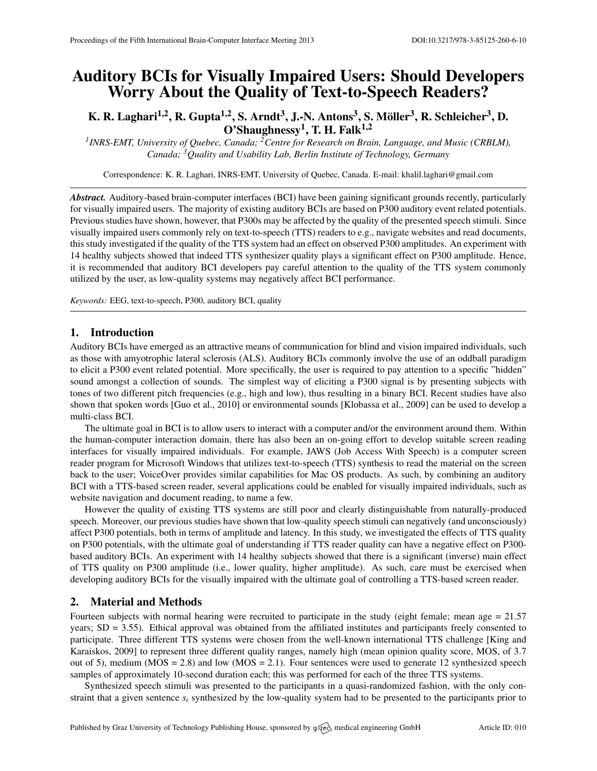# Auditory BCIs for Visually Impaired Users: Should Developers Worry About the Quality of Text-to-Speech Readers?

# K. R. Laghari<sup>1,2</sup>, R. Gupta<sup>1,2</sup>, S. Arndt<sup>3</sup>, J.-N. Antons<sup>3</sup>, S. Möller<sup>3</sup>, R. Schleicher<sup>3</sup>, D. O'Shaughnessy $^1$ , T. H. Falk $^{1,2}$

*1 INRS-EMT, University of Quebec, Canada; <sup>2</sup>Centre for Research on Brain, Language, and Music (CRBLM), Canada; <sup>3</sup>Quality and Usability Lab, Berlin Institute of Technology, Germany*

Correspondence: K. R. Laghari, INRS-EMT, University of Quebec, Canada. E-mail: [khalil.laghari@gmail.com](mailto:khalil.laghari@gmail.com)

*Abstract.* Auditory-based brain-computer interfaces (BCI) have been gaining significant grounds recently, particularly for visually impaired users. The majority of existing auditory BCIs are based on P300 auditory event related potentials. Previous studies have shown, however, that P300s may be affected by the quality of the presented speech stimuli. Since visually impaired users commonly rely on text-to-speech (TTS) readers to e.g., navigate websites and read documents, this study investigated if the quality of the TTS system had an effect on observed P300 amplitudes. An experiment with 14 healthy subjects showed that indeed TTS synthesizer quality plays a significant effect on P300 amplitude. Hence, it is recommended that auditory BCI developers pay careful attention to the quality of the TTS system commonly utilized by the user, as low-quality systems may negatively affect BCI performance.

*Keywords:* EEG, text-to-speech, P300, auditory BCI, quality

#### 1. Introduction

Auditory BCIs have emerged as an attractive means of communication for blind and vision impaired individuals, such as those with amyotrophic lateral sclerosis (ALS). Auditory BCIs commonly involve the use of an oddball paradigm to elicit a P300 event related potential. More specifically, the user is required to pay attention to a specific "hidden" sound amongst a collection of sounds. The simplest way of eliciting a P300 signal is by presenting subjects with tones of two different pitch frequencies (e.g., high and low), thus resulting in a binary BCI. Recent studies have also shown that spoken words [\[Guo et al.,](#page-1-0) [2010\]](#page-1-0) or environmental sounds [\[Klobassa et al.,](#page-1-1) [2009\]](#page-1-1) can be used to develop a multi-class BCI.

The ultimate goal in BCI is to allow users to interact with a computer and/or the environment around them. Within the human-computer interaction domain, there has also been an on-going effort to develop suitable screen reading interfaces for visually impaired individuals. For example, JAWS (Job Access With Speech) is a computer screen reader program for Microsoft Windows that utilizes text-to-speech (TTS) synthesis to read the material on the screen back to the user; VoiceOver provides similar capabilities for Mac OS products. As such, by combining an auditory BCI with a TTS-based screen reader, several applications could be enabled for visually impaired individuals, such as website navigation and document reading, to name a few.

However the quality of existing TTS systems are still poor and clearly distinguishable from naturally-produced speech. Moreover, our previous studies have shown that low-quality speech stimuli can negatively (and unconsciously) affect P300 potentials, both in terms of amplitude and latency. In this study, we investigated the effects of TTS quality on P300 potentials, with the ultimate goal of understanding if TTS reader quality can have a negative effect on P300 based auditory BCIs. An experiment with 14 healthy subjects showed that there is a significant (inverse) main effect of TTS quality on P300 amplitude (i.e., lower quality, higher amplitude). As such, care must be exercised when developing auditory BCIs for the visually impaired with the ultimate goal of controlling a TTS-based screen reader.

## 2. Material and Methods

Fourteen subjects with normal hearing were recruited to participate in the study (eight female; mean age = 21.57 years; SD = 3.55). Ethical approval was obtained from the affiliated institutes and participants freely consented to participate. Three different TTS systems were chosen from the well-known international TTS challenge [\[King and](#page-1-2) [Karaiskos,](#page-1-2) [2009\]](#page-1-2) to represent three different quality ranges, namely high (mean opinion quality score, MOS, of 3.7 out of 5), medium ( $MOS = 2.8$ ) and low ( $MOS = 2.1$ ). Four sentences were used to generate 12 synthesized speech samples of approximately 10-second duration each; this was performed for each of the three TTS systems.

Synthesized speech stimuli was presented to the participants in a quasi-randomized fashion, with the only constraint that a given sentence  $s_i$  synthesized by the low-quality system had to be presented to the participants prior to